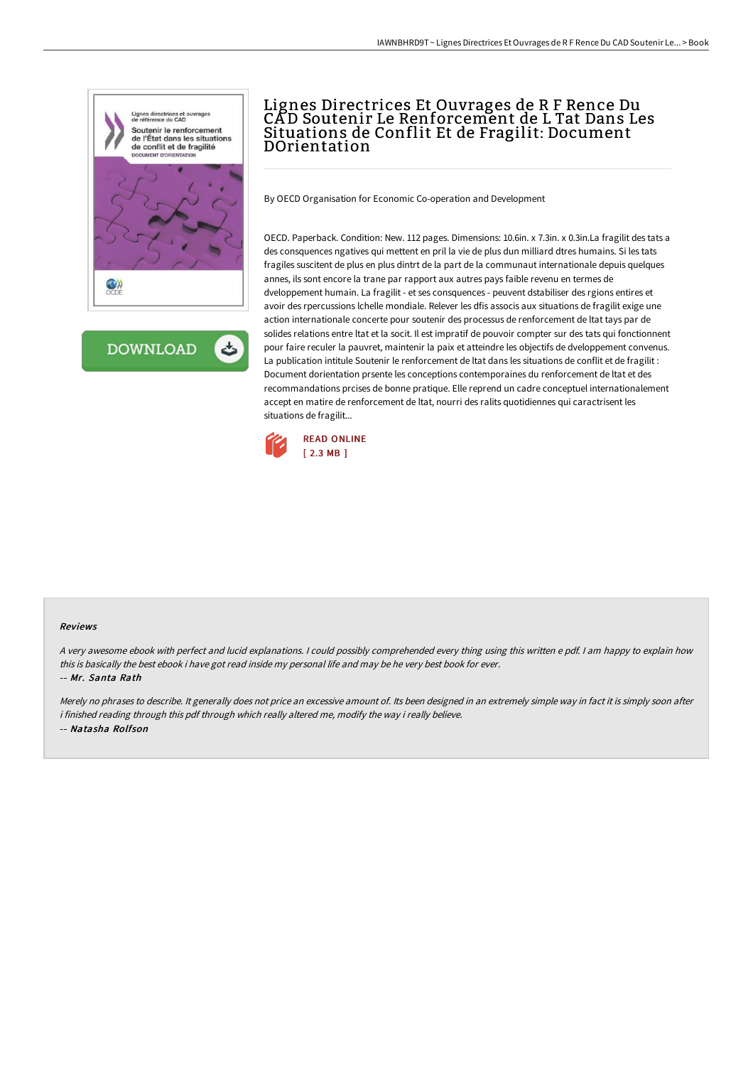

**DOWNLOAD** ٹ

# Lignes Directrices Et Ouvrages de R F Rence Du CA D Soutenir Le Renforcement de L Tat Dans Les Situations de Conflit Et de Fragilit: Document DOrientation

By OECD Organisation for Economic Co-operation and Development

OECD. Paperback. Condition: New. 112 pages. Dimensions: 10.6in. x 7.3in. x 0.3in.La fragilit des tats a des consquences ngatives qui mettent en pril la vie de plus dun milliard dtres humains. Si les tats fragiles suscitent de plus en plus dintrt de la part de la communaut internationale depuis quelques annes, ils sont encore la trane par rapport aux autres pays faible revenu en termes de dveloppement humain. La fragilit - et ses consquences - peuvent dstabiliser des rgions entires et avoir des rpercussions lchelle mondiale. Relever les dfis associs aux situations de fragilit exige une action internationale concerte pour soutenir des processus de renforcement de ltat tays par de solides relations entre ltat et la socit. Il est impratif de pouvoir compter sur des tats qui fonctionnent pour faire reculer la pauvret, maintenir la paix et atteindre les objectifs de dveloppement convenus. La publication intitule Soutenir le renforcement de ltat dans les situations de conflit et de fragilit : Document dorientation prsente les conceptions contemporaines du renforcement de ltat et des recommandations prcises de bonne pratique. Elle reprend un cadre conceptuel internationalement accept en matire de renforcement de ltat, nourri des ralits quotidiennes qui caractrisent les situations de fragilit...



#### Reviews

<sup>A</sup> very awesome ebook with perfect and lucid explanations. <sup>I</sup> could possibly comprehended every thing using this written <sup>e</sup> pdf. <sup>I</sup> am happy to explain how this is basically the best ebook i have got read inside my personal life and may be he very best book for ever. -- Mr. Santa Rath

Merely no phrases to describe. It generally does not price an excessive amount of. Its been designed in an extremely simple way in fact it is simply soon after i finished reading through this pdf through which really altered me, modify the way i really believe. -- Natasha Rolfson